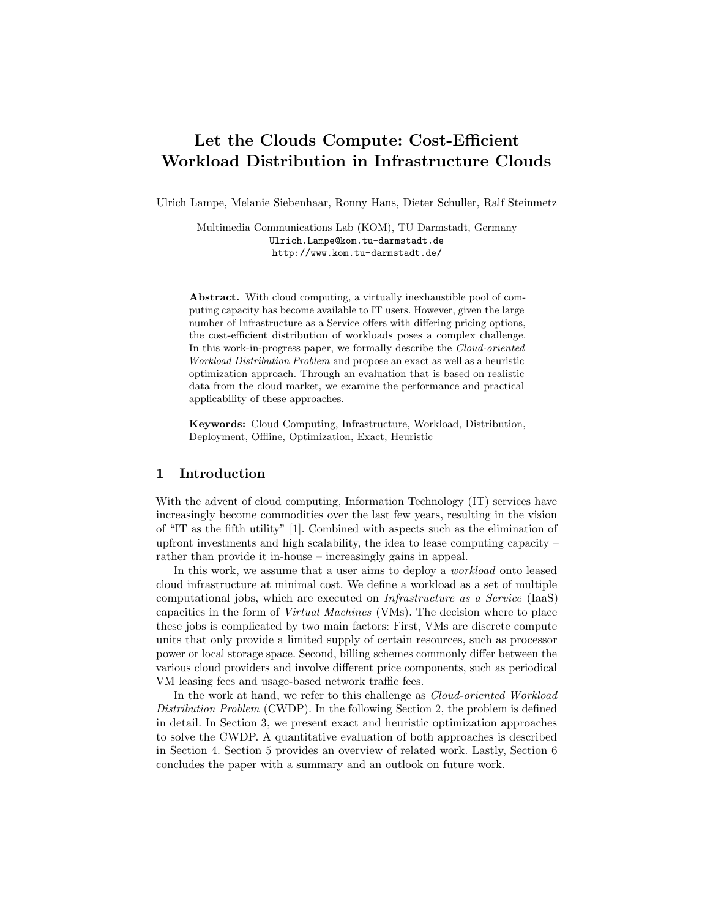# Let the Clouds Compute: Cost-Efficient Workload Distribution in Infrastructure Clouds

Ulrich Lampe, Melanie Siebenhaar, Ronny Hans, Dieter Schuller, Ralf Steinmetz

Multimedia Communications Lab (KOM), TU Darmstadt, Germany Ulrich.Lampe@kom.tu-darmstadt.de http://www.kom.tu-darmstadt.de/

Abstract. With cloud computing, a virtually inexhaustible pool of computing capacity has become available to IT users. However, given the large number of Infrastructure as a Service offers with differing pricing options, the cost-efficient distribution of workloads poses a complex challenge. In this work-in-progress paper, we formally describe the Cloud-oriented Workload Distribution Problem and propose an exact as well as a heuristic optimization approach. Through an evaluation that is based on realistic data from the cloud market, we examine the performance and practical applicability of these approaches.

Keywords: Cloud Computing, Infrastructure, Workload, Distribution, Deployment, Offline, Optimization, Exact, Heuristic

### 1 Introduction

With the advent of cloud computing, Information Technology (IT) services have increasingly become commodities over the last few years, resulting in the vision of "IT as the fifth utility" [1]. Combined with aspects such as the elimination of upfront investments and high scalability, the idea to lease computing capacity – rather than provide it in-house – increasingly gains in appeal.

In this work, we assume that a user aims to deploy a workload onto leased cloud infrastructure at minimal cost. We define a workload as a set of multiple computational jobs, which are executed on Infrastructure as a Service (IaaS) capacities in the form of Virtual Machines (VMs). The decision where to place these jobs is complicated by two main factors: First, VMs are discrete compute units that only provide a limited supply of certain resources, such as processor power or local storage space. Second, billing schemes commonly differ between the various cloud providers and involve different price components, such as periodical VM leasing fees and usage-based network traffic fees.

In the work at hand, we refer to this challenge as Cloud-oriented Workload Distribution Problem (CWDP). In the following Section 2, the problem is defined in detail. In Section 3, we present exact and heuristic optimization approaches to solve the CWDP. A quantitative evaluation of both approaches is described in Section 4. Section 5 provides an overview of related work. Lastly, Section 6 concludes the paper with a summary and an outlook on future work.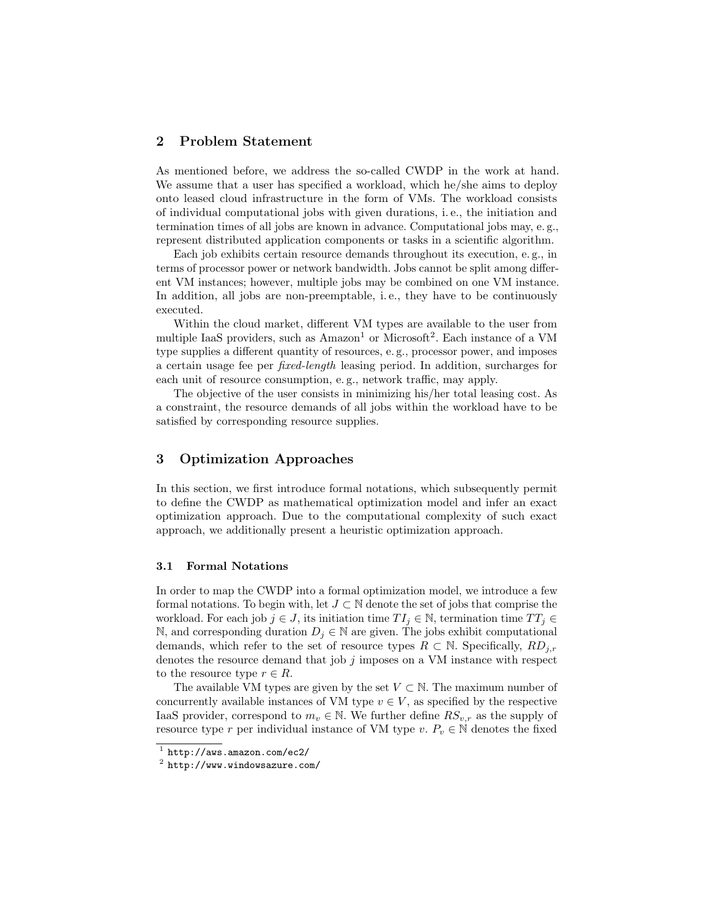# 2 Problem Statement

As mentioned before, we address the so-called CWDP in the work at hand. We assume that a user has specified a workload, which he/she aims to deploy onto leased cloud infrastructure in the form of VMs. The workload consists of individual computational jobs with given durations, i. e., the initiation and termination times of all jobs are known in advance. Computational jobs may, e. g., represent distributed application components or tasks in a scientific algorithm.

Each job exhibits certain resource demands throughout its execution, e. g., in terms of processor power or network bandwidth. Jobs cannot be split among different VM instances; however, multiple jobs may be combined on one VM instance. In addition, all jobs are non-preemptable, i. e., they have to be continuously executed.

Within the cloud market, different VM types are available to the user from multiple IaaS providers, such as  $\text{Amazon}^1$  or Microsoft<sup>2</sup>. Each instance of a VM type supplies a different quantity of resources, e. g., processor power, and imposes a certain usage fee per fixed-length leasing period. In addition, surcharges for each unit of resource consumption, e. g., network traffic, may apply.

The objective of the user consists in minimizing his/her total leasing cost. As a constraint, the resource demands of all jobs within the workload have to be satisfied by corresponding resource supplies.

## 3 Optimization Approaches

In this section, we first introduce formal notations, which subsequently permit to define the CWDP as mathematical optimization model and infer an exact optimization approach. Due to the computational complexity of such exact approach, we additionally present a heuristic optimization approach.

#### 3.1 Formal Notations

In order to map the CWDP into a formal optimization model, we introduce a few formal notations. To begin with, let  $J \subset \mathbb{N}$  denote the set of jobs that comprise the workload. For each job  $j \in J$ , its initiation time  $TI_i \in \mathbb{N}$ , termination time  $TT_i \in$ N, and corresponding duration  $D_i \in \mathbb{N}$  are given. The jobs exhibit computational demands, which refer to the set of resource types  $R \subset \mathbb{N}$ . Specifically,  $RD_{j,r}$ denotes the resource demand that job j imposes on a VM instance with respect to the resource type  $r \in R$ .

The available VM types are given by the set  $V \subset \mathbb{N}$ . The maximum number of concurrently available instances of VM type  $v \in V$ , as specified by the respective IaaS provider, correspond to  $m_v \in \mathbb{N}$ . We further define  $RS_{v,r}$  as the supply of resource type r per individual instance of VM type v.  $P_v \in \mathbb{N}$  denotes the fixed

 $^{\rm 1}$  http://aws.amazon.com/ec2/

 $^2$  http://www.windowsazure.com/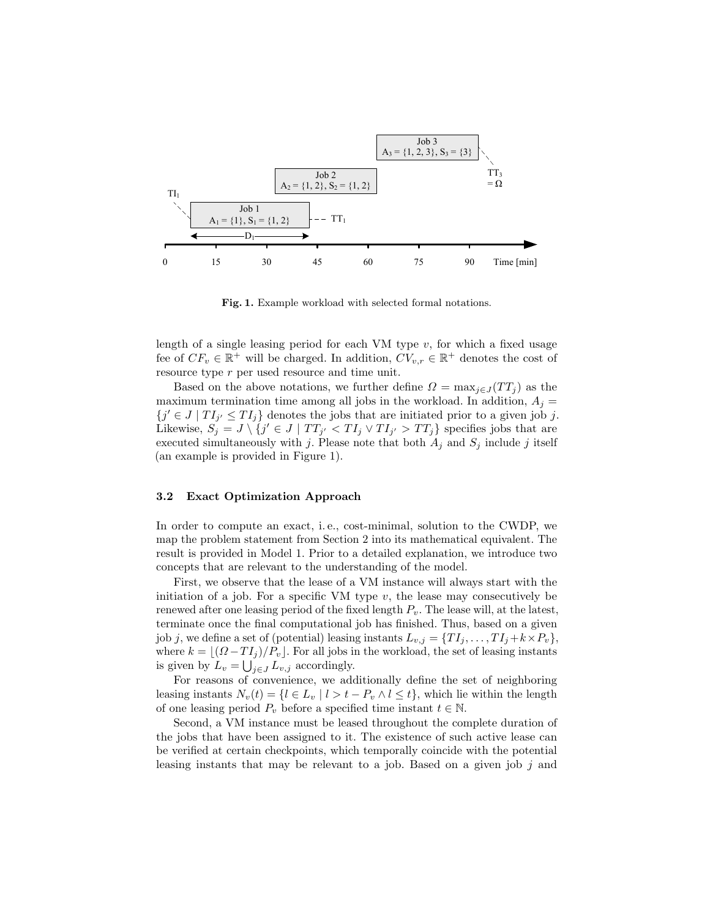

Fig. 1. Example workload with selected formal notations.

length of a single leasing period for each VM type  $v$ , for which a fixed usage fee of  $CF_v \in \mathbb{R}^+$  will be charged. In addition,  $CV_{v,r} \in \mathbb{R}^+$  denotes the cost of resource type r per used resource and time unit.

Based on the above notations, we further define  $\Omega = \max_{j \in J} (TT_j)$  as the maximum termination time among all jobs in the workload. In addition,  $A_j =$  ${j' \in J \mid TI_{j'} \leq TI_j}$  denotes the jobs that are initiated prior to a given job j. Likewise,  $S_j = J \setminus \{j' \in J \mid TT_{j'} < TI_j \vee TI_{j'} > TT_j\}$  specifies jobs that are executed simultaneously with j. Please note that both  $A_i$  and  $S_j$  include j itself (an example is provided in Figure 1).

#### 3.2 Exact Optimization Approach

In order to compute an exact, i. e., cost-minimal, solution to the CWDP, we map the problem statement from Section 2 into its mathematical equivalent. The result is provided in Model 1. Prior to a detailed explanation, we introduce two concepts that are relevant to the understanding of the model.

First, we observe that the lease of a VM instance will always start with the initiation of a job. For a specific VM type  $v$ , the lease may consecutively be renewed after one leasing period of the fixed length  $P_v$ . The lease will, at the latest, terminate once the final computational job has finished. Thus, based on a given job j, we define a set of (potential) leasing instants  $L_{v,j} = \{TI_1, \ldots, TI_j + k \times P_v\}$ , where  $k = \lfloor (Q - TI_j)/P_v \rfloor$ . For all jobs in the workload, the set of leasing instants is given by  $L_v = \bigcup_{j \in J} L_{v,j}$  accordingly.

For reasons of convenience, we additionally define the set of neighboring leasing instants  $N_v(t) = \{l \in L_v \mid l > t - P_v \land l \leq t\}$ , which lie within the length of one leasing period  $P_v$  before a specified time instant  $t \in \mathbb{N}$ .

Second, a VM instance must be leased throughout the complete duration of the jobs that have been assigned to it. The existence of such active lease can be verified at certain checkpoints, which temporally coincide with the potential leasing instants that may be relevant to a job. Based on a given job  $j$  and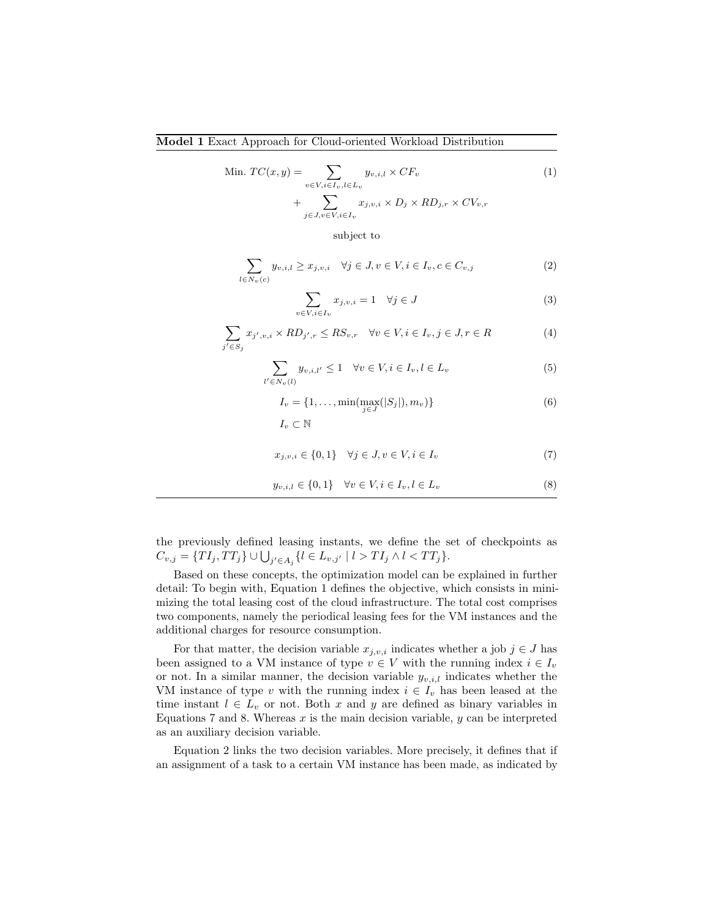Min. 
$$
TC(x, y) = \sum_{v \in V, i \in I_v, l \in L_v} y_{v,i,l} \times CF_v
$$
  
+ 
$$
\sum_{j \in J, v \in V, i \in I_v} x_{j,v,i} \times D_j \times RD_{j,r} \times CV_{v,r}
$$
(1)

subject to

$$
\sum_{l \in N_v(c)} y_{v,i,l} \ge x_{j,v,i} \quad \forall j \in J, v \in V, i \in I_v, c \in C_{v,j}
$$
\n
$$
(2)
$$

$$
\sum_{v \in V, i \in I_v} x_{j,v,i} = 1 \quad \forall j \in J \tag{3}
$$

$$
\sum_{j' \in S_j} x_{j',v,i} \times RD_{j',r} \le RS_{v,r} \quad \forall v \in V, i \in I_v, j \in J, r \in R
$$
\n
$$
(4)
$$

$$
\sum_{l' \in N_v(l)} y_{v,i,l'} \le 1 \quad \forall v \in V, i \in I_v, l \in L_v \tag{5}
$$

$$
I_v = \{1, \dots, \min(\max_{j \in J}(|S_j|), m_v)\}
$$
  

$$
I_v \subset \mathbb{N}
$$
 (6)

$$
x_{j,v,i} \in \{0,1\} \quad \forall j \in J, v \in V, i \in I_v \tag{7}
$$

$$
y_{v,i,l} \in \{0,1\} \quad \forall v \in V, i \in I_v, l \in L_v \tag{8}
$$

the previously defined leasing instants, we define the set of checkpoints as  $C_{v,j} = \{TI_j, TT_j\} \cup \bigcup_{j' \in A_j} \{l \in L_{v,j'} \mid l > TI_j \wedge l < TT_j\}.$ 

Based on these concepts, the optimization model can be explained in further detail: To begin with, Equation 1 defines the objective, which consists in minimizing the total leasing cost of the cloud infrastructure. The total cost comprises two components, namely the periodical leasing fees for the VM instances and the additional charges for resource consumption.

For that matter, the decision variable  $x_{j,v,i}$  indicates whether a job  $j \in J$  has been assigned to a VM instance of type  $v \in V$  with the running index  $i \in I_v$ or not. In a similar manner, the decision variable  $y_{v,i,l}$  indicates whether the VM instance of type v with the running index  $i \in I_v$  has been leased at the time instant  $l \in L_v$  or not. Both x and y are defined as binary variables in Equations 7 and 8. Whereas  $x$  is the main decision variable,  $y$  can be interpreted as an auxiliary decision variable.

Equation 2 links the two decision variables. More precisely, it defines that if an assignment of a task to a certain VM instance has been made, as indicated by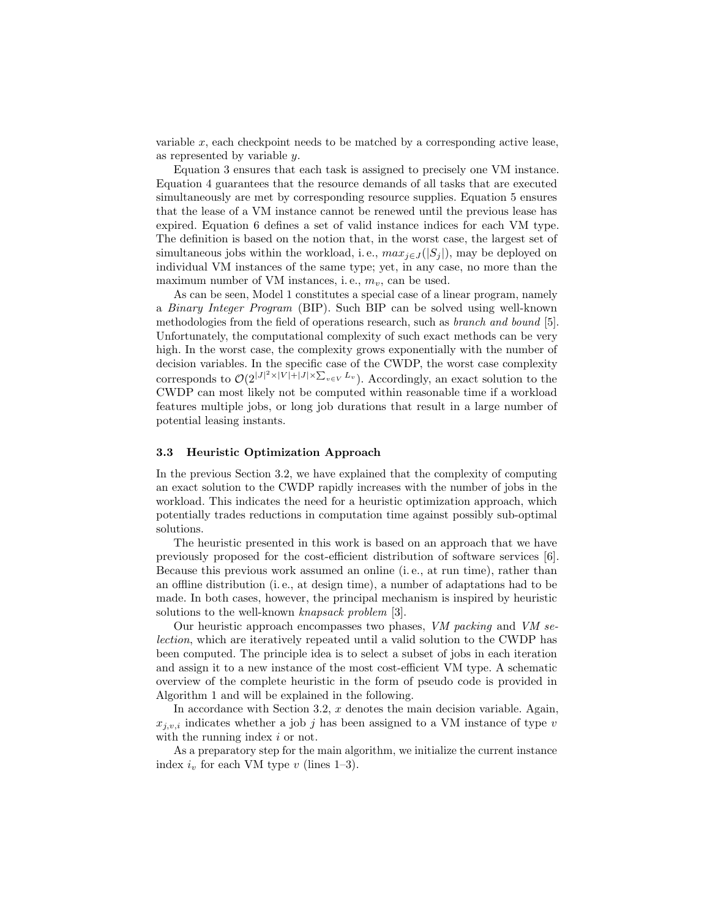variable  $x$ , each checkpoint needs to be matched by a corresponding active lease, as represented by variable  $\psi$ .

Equation 3 ensures that each task is assigned to precisely one VM instance. Equation 4 guarantees that the resource demands of all tasks that are executed simultaneously are met by corresponding resource supplies. Equation 5 ensures that the lease of a VM instance cannot be renewed until the previous lease has expired. Equation 6 defines a set of valid instance indices for each VM type. The definition is based on the notion that, in the worst case, the largest set of simultaneous jobs within the workload, i.e.,  $max_{i \in J}(|S_i|)$ , may be deployed on individual VM instances of the same type; yet, in any case, no more than the maximum number of VM instances, i.e.,  $m_v$ , can be used.

As can be seen, Model 1 constitutes a special case of a linear program, namely a Binary Integer Program (BIP). Such BIP can be solved using well-known methodologies from the field of operations research, such as branch and bound [5]. Unfortunately, the computational complexity of such exact methods can be very high. In the worst case, the complexity grows exponentially with the number of decision variables. In the specific case of the CWDP, the worst case complexity corresponds to  $\mathcal{O}(2^{|J|^2 \times |V| + |J| \times \sum_{v \in V} L_v})$ . Accordingly, an exact solution to the CWDP can most likely not be computed within reasonable time if a workload features multiple jobs, or long job durations that result in a large number of potential leasing instants.

#### 3.3 Heuristic Optimization Approach

In the previous Section 3.2, we have explained that the complexity of computing an exact solution to the CWDP rapidly increases with the number of jobs in the workload. This indicates the need for a heuristic optimization approach, which potentially trades reductions in computation time against possibly sub-optimal solutions.

The heuristic presented in this work is based on an approach that we have previously proposed for the cost-efficient distribution of software services [6]. Because this previous work assumed an online (i. e., at run time), rather than an offline distribution (i. e., at design time), a number of adaptations had to be made. In both cases, however, the principal mechanism is inspired by heuristic solutions to the well-known knapsack problem [3].

Our heuristic approach encompasses two phases, VM packing and VM selection, which are iteratively repeated until a valid solution to the CWDP has been computed. The principle idea is to select a subset of jobs in each iteration and assign it to a new instance of the most cost-efficient VM type. A schematic overview of the complete heuristic in the form of pseudo code is provided in Algorithm 1 and will be explained in the following.

In accordance with Section 3.2,  $x$  denotes the main decision variable. Again,  $x_{i,v,i}$  indicates whether a job j has been assigned to a VM instance of type v with the running index i or not.

As a preparatory step for the main algorithm, we initialize the current instance index  $i_v$  for each VM type v (lines 1–3).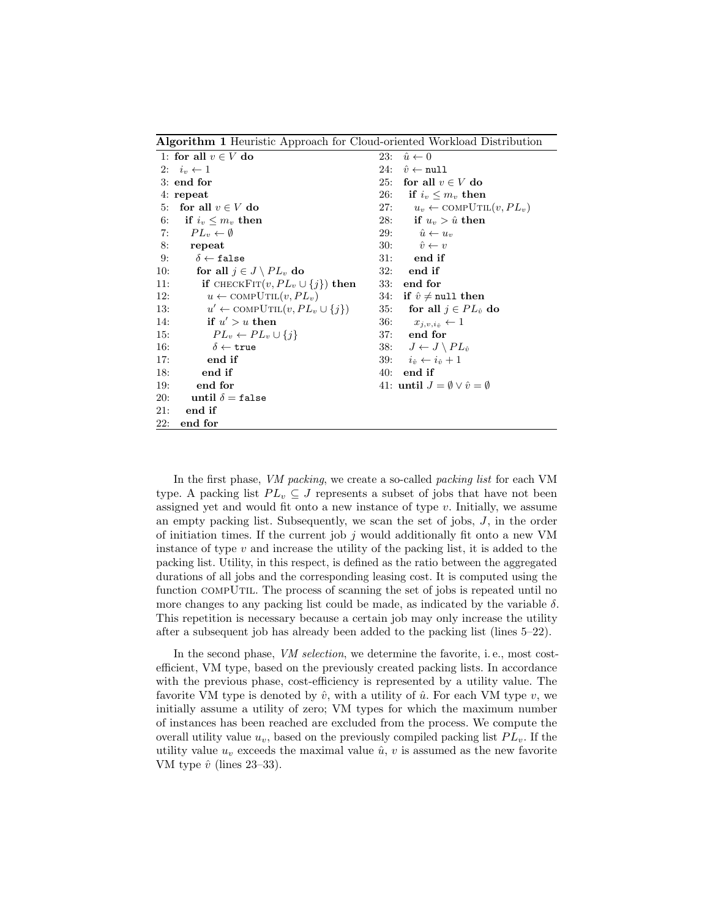| Algorithm 1 Heuristic Approach for Cloud-oriented Workload Distribution |                                                       |     |                                                    |
|-------------------------------------------------------------------------|-------------------------------------------------------|-----|----------------------------------------------------|
|                                                                         | 1: for all $v \in V$ do                               | 23: | $\hat{u} \leftarrow 0$                             |
|                                                                         | 2: $i_v \leftarrow 1$                                 | 24: | $\hat{v} \leftarrow \texttt{null}$                 |
|                                                                         | $3:$ end for                                          | 25: | for all $v \in V$ do                               |
| 4: repeat                                                               |                                                       |     | 26: if $i_v \leq m_v$ then                         |
|                                                                         | 5: for all $v \in V$ do                               |     | 27: $u_v \leftarrow \text{COMPUTIL}(v, PL_v)$      |
|                                                                         | 6: if $i_v \n\t\leq m_v$ then                         |     | 28: if $u_v > \hat{u}$ then                        |
|                                                                         | 7: $PL_v \leftarrow \emptyset$                        |     | 29: $\hat{u} \leftarrow u_v$                       |
|                                                                         | 8: repeat                                             |     | 30: $\hat{v} \leftarrow v$                         |
|                                                                         | 9: $\delta \leftarrow \texttt{false}$                 |     | $31:$ end if                                       |
|                                                                         | 10: for all $j \in J \setminus PL_v$ do               |     | $32:$ end if                                       |
|                                                                         | <b>if</b> CHECKFIT $(v, PL_v \cup \{j\})$ then<br>11: |     | 33: end for                                        |
| 12:                                                                     | $u \leftarrow \text{COMPUTIL}(v, PL_v)$               |     | 34: if $\hat{v} \neq \text{null}$ then             |
| 13:                                                                     | $u' \leftarrow \text{COMPUTIL}(v, PL_v \cup \{j\})$   |     | 35: for all $j \in PL$ do                          |
| 14:                                                                     | if $u' > u$ then                                      |     | 36: $x_{j,v,i_{\hat{v}}} \leftarrow 1$             |
| 15:                                                                     | $PL_v \leftarrow PL_v \cup \{i\}$                     |     | $37:$ end for                                      |
| 16:                                                                     | $\delta \leftarrow \mathtt{true}$                     |     | 38: $J \leftarrow J \setminus PL_{\hat{v}}$        |
| 17:                                                                     | end if                                                |     | 39: $i_{\hat{v}} \leftarrow i_{\hat{v}} + 1$       |
| 18:                                                                     | end if                                                | 40: | end if                                             |
|                                                                         | 19: end for                                           |     | 41: until $J = \emptyset \vee \hat{v} = \emptyset$ |
|                                                                         | 20: until $\delta =$ false                            |     |                                                    |
| 21:                                                                     | end if                                                |     |                                                    |
| 22:                                                                     | end for                                               |     |                                                    |

Algorithm 1 Heuristic Approach for Cloud-oriented Workload Distribution

In the first phase, VM packing, we create a so-called packing list for each VM type. A packing list  $PL_v \subseteq J$  represents a subset of jobs that have not been assigned yet and would fit onto a new instance of type  $v$ . Initially, we assume an empty packing list. Subsequently, we scan the set of jobs, J, in the order of initiation times. If the current job  $j$  would additionally fit onto a new VM instance of type  $v$  and increase the utility of the packing list, it is added to the packing list. Utility, in this respect, is defined as the ratio between the aggregated durations of all jobs and the corresponding leasing cost. It is computed using the function COMPUTIL. The process of scanning the set of jobs is repeated until no more changes to any packing list could be made, as indicated by the variable  $\delta$ . This repetition is necessary because a certain job may only increase the utility after a subsequent job has already been added to the packing list (lines 5–22).

In the second phase, VM selection, we determine the favorite, i.e., most costefficient, VM type, based on the previously created packing lists. In accordance with the previous phase, cost-efficiency is represented by a utility value. The favorite VM type is denoted by  $\hat{v}$ , with a utility of  $\hat{u}$ . For each VM type v, we initially assume a utility of zero; VM types for which the maximum number of instances has been reached are excluded from the process. We compute the overall utility value  $u_v$ , based on the previously compiled packing list  $PL_v$ . If the utility value  $u<sub>v</sub>$  exceeds the maximal value  $\hat{u}$ , v is assumed as the new favorite VM type  $\hat{v}$  (lines 23–33).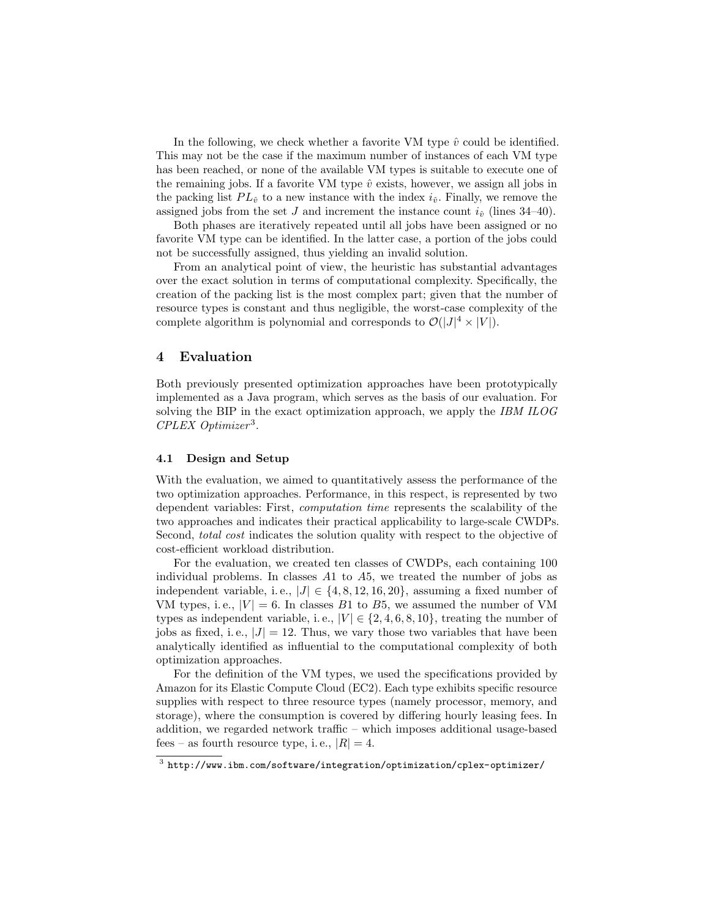In the following, we check whether a favorite VM type  $\hat{v}$  could be identified. This may not be the case if the maximum number of instances of each VM type has been reached, or none of the available VM types is suitable to execute one of the remaining jobs. If a favorite VM type  $\hat{v}$  exists, however, we assign all jobs in the packing list  $PL_{\hat{v}}$  to a new instance with the index  $i_{\hat{v}}$ . Finally, we remove the assigned jobs from the set J and increment the instance count  $i_{\hat{v}}$  (lines 34–40).

Both phases are iteratively repeated until all jobs have been assigned or no favorite VM type can be identified. In the latter case, a portion of the jobs could not be successfully assigned, thus yielding an invalid solution.

From an analytical point of view, the heuristic has substantial advantages over the exact solution in terms of computational complexity. Specifically, the creation of the packing list is the most complex part; given that the number of resource types is constant and thus negligible, the worst-case complexity of the complete algorithm is polynomial and corresponds to  $\mathcal{O}(|J|^4 \times |V|)$ .

## 4 Evaluation

Both previously presented optimization approaches have been prototypically implemented as a Java program, which serves as the basis of our evaluation. For solving the BIP in the exact optimization approach, we apply the *IBM ILOG* CPLEX Optimizer<sup>3</sup>.

## 4.1 Design and Setup

With the evaluation, we aimed to quantitatively assess the performance of the two optimization approaches. Performance, in this respect, is represented by two dependent variables: First, computation time represents the scalability of the two approaches and indicates their practical applicability to large-scale CWDPs. Second, total cost indicates the solution quality with respect to the objective of cost-efficient workload distribution.

For the evaluation, we created ten classes of CWDPs, each containing 100 individual problems. In classes A1 to A5, we treated the number of jobs as independent variable, i.e.,  $|J| \in \{4, 8, 12, 16, 20\}$ , assuming a fixed number of VM types, i.e.,  $|V| = 6$ . In classes B1 to B5, we assumed the number of VM types as independent variable, i.e.,  $|V| \in \{2, 4, 6, 8, 10\}$ , treating the number of jobs as fixed, i.e.,  $|J| = 12$ . Thus, we vary those two variables that have been analytically identified as influential to the computational complexity of both optimization approaches.

For the definition of the VM types, we used the specifications provided by Amazon for its Elastic Compute Cloud (EC2). Each type exhibits specific resource supplies with respect to three resource types (namely processor, memory, and storage), where the consumption is covered by differing hourly leasing fees. In addition, we regarded network traffic – which imposes additional usage-based fees – as fourth resource type, i.e.,  $|R| = 4$ .

 $^3$  http://www.ibm.com/software/integration/optimization/cplex-optimizer/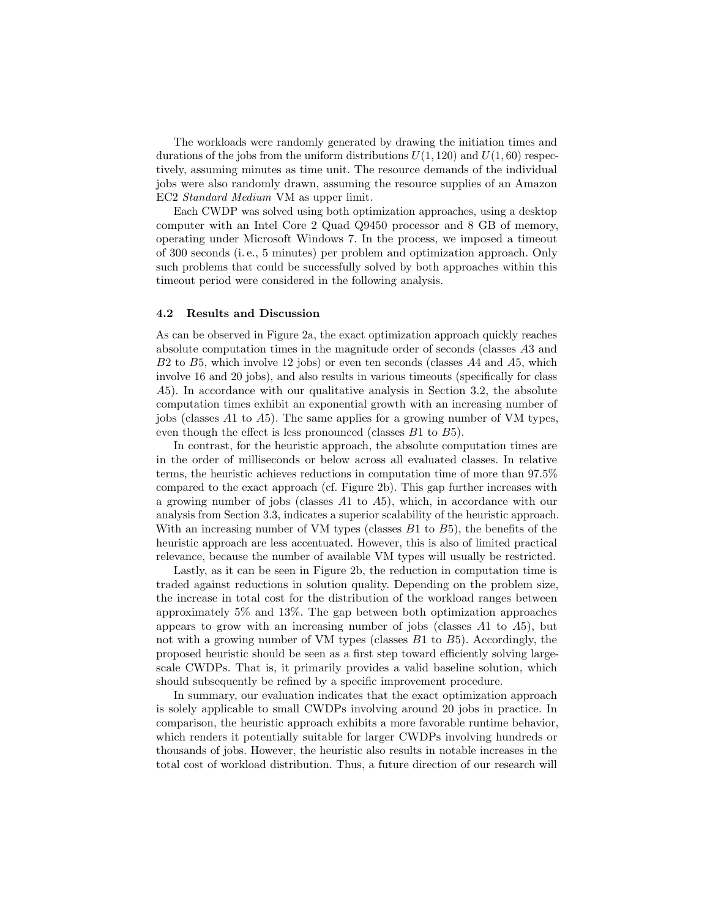The workloads were randomly generated by drawing the initiation times and durations of the jobs from the uniform distributions  $U(1, 120)$  and  $U(1, 60)$  respectively, assuming minutes as time unit. The resource demands of the individual jobs were also randomly drawn, assuming the resource supplies of an Amazon EC2 Standard Medium VM as upper limit.

Each CWDP was solved using both optimization approaches, using a desktop computer with an Intel Core 2 Quad Q9450 processor and 8 GB of memory, operating under Microsoft Windows 7. In the process, we imposed a timeout of 300 seconds (i. e., 5 minutes) per problem and optimization approach. Only such problems that could be successfully solved by both approaches within this timeout period were considered in the following analysis.

#### 4.2 Results and Discussion

As can be observed in Figure 2a, the exact optimization approach quickly reaches absolute computation times in the magnitude order of seconds (classes A3 and  $B2$  to  $B5$ , which involve 12 jobs) or even ten seconds (classes  $A4$  and  $A5$ , which involve 16 and 20 jobs), and also results in various timeouts (specifically for class A5). In accordance with our qualitative analysis in Section 3.2, the absolute computation times exhibit an exponential growth with an increasing number of jobs (classes A1 to A5). The same applies for a growing number of VM types, even though the effect is less pronounced (classes B1 to B5).

In contrast, for the heuristic approach, the absolute computation times are in the order of milliseconds or below across all evaluated classes. In relative terms, the heuristic achieves reductions in computation time of more than 97.5% compared to the exact approach (cf. Figure 2b). This gap further increases with a growing number of jobs (classes A1 to A5), which, in accordance with our analysis from Section 3.3, indicates a superior scalability of the heuristic approach. With an increasing number of VM types (classes  $B1$  to  $B5$ ), the benefits of the heuristic approach are less accentuated. However, this is also of limited practical relevance, because the number of available VM types will usually be restricted.

Lastly, as it can be seen in Figure 2b, the reduction in computation time is traded against reductions in solution quality. Depending on the problem size, the increase in total cost for the distribution of the workload ranges between approximately 5% and 13%. The gap between both optimization approaches appears to grow with an increasing number of jobs (classes A1 to A5), but not with a growing number of VM types (classes B1 to B5). Accordingly, the proposed heuristic should be seen as a first step toward efficiently solving largescale CWDPs. That is, it primarily provides a valid baseline solution, which should subsequently be refined by a specific improvement procedure.

In summary, our evaluation indicates that the exact optimization approach is solely applicable to small CWDPs involving around 20 jobs in practice. In comparison, the heuristic approach exhibits a more favorable runtime behavior, which renders it potentially suitable for larger CWDPs involving hundreds or thousands of jobs. However, the heuristic also results in notable increases in the total cost of workload distribution. Thus, a future direction of our research will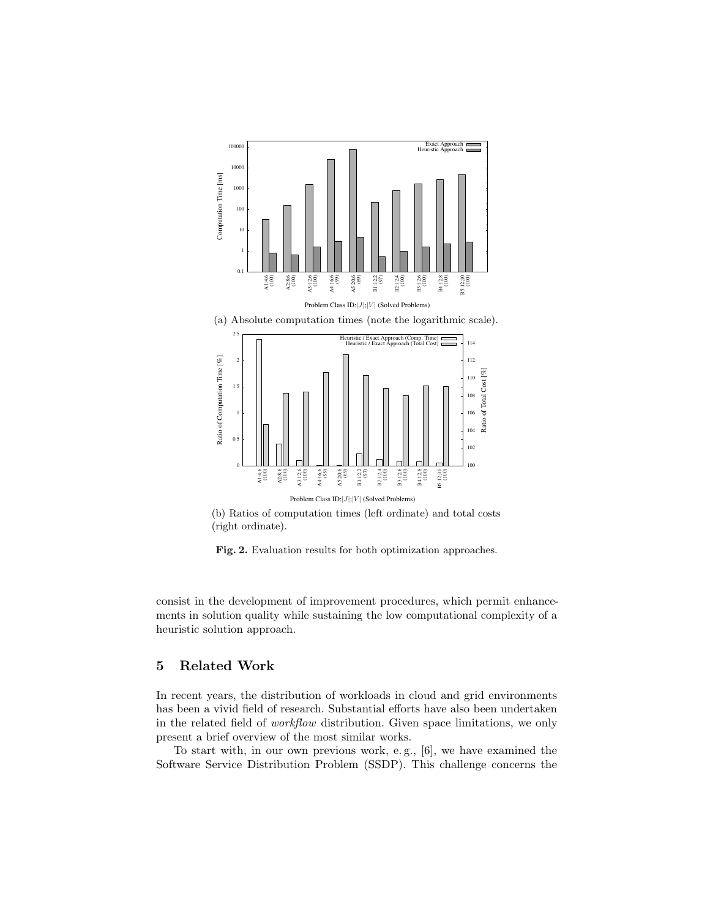

(b) Ratios of computation times (left ordinate) and total costs (right ordinate).

Fig. 2. Evaluation results for both optimization approaches.

consist in the development of improvement procedures, which permit enhancements in solution quality while sustaining the low computational complexity of a heuristic solution approach.

# 5 Related Work

In recent years, the distribution of workloads in cloud and grid environments has been a vivid field of research. Substantial efforts have also been undertaken in the related field of workflow distribution. Given space limitations, we only present a brief overview of the most similar works.

To start with, in our own previous work, e. g., [6], we have examined the Software Service Distribution Problem (SSDP). This challenge concerns the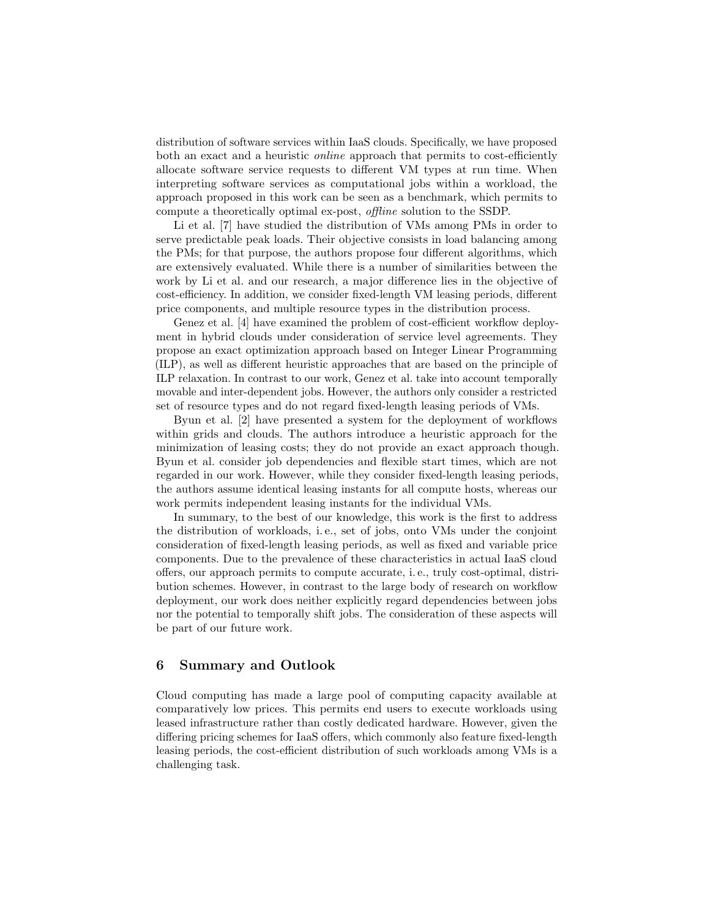distribution of software services within IaaS clouds. Specifically, we have proposed both an exact and a heuristic online approach that permits to cost-efficiently allocate software service requests to different VM types at run time. When interpreting software services as computational jobs within a workload, the approach proposed in this work can be seen as a benchmark, which permits to compute a theoretically optimal ex-post, offline solution to the SSDP.

Li et al. [7] have studied the distribution of VMs among PMs in order to serve predictable peak loads. Their objective consists in load balancing among the PMs; for that purpose, the authors propose four different algorithms, which are extensively evaluated. While there is a number of similarities between the work by Li et al. and our research, a major difference lies in the objective of cost-efficiency. In addition, we consider fixed-length VM leasing periods, different price components, and multiple resource types in the distribution process.

Genez et al. [4] have examined the problem of cost-efficient workflow deployment in hybrid clouds under consideration of service level agreements. They propose an exact optimization approach based on Integer Linear Programming (ILP), as well as different heuristic approaches that are based on the principle of ILP relaxation. In contrast to our work, Genez et al. take into account temporally movable and inter-dependent jobs. However, the authors only consider a restricted set of resource types and do not regard fixed-length leasing periods of VMs.

Byun et al. [2] have presented a system for the deployment of workflows within grids and clouds. The authors introduce a heuristic approach for the minimization of leasing costs; they do not provide an exact approach though. Byun et al. consider job dependencies and flexible start times, which are not regarded in our work. However, while they consider fixed-length leasing periods, the authors assume identical leasing instants for all compute hosts, whereas our work permits independent leasing instants for the individual VMs.

In summary, to the best of our knowledge, this work is the first to address the distribution of workloads, i. e., set of jobs, onto VMs under the conjoint consideration of fixed-length leasing periods, as well as fixed and variable price components. Due to the prevalence of these characteristics in actual IaaS cloud offers, our approach permits to compute accurate, i. e., truly cost-optimal, distribution schemes. However, in contrast to the large body of research on workflow deployment, our work does neither explicitly regard dependencies between jobs nor the potential to temporally shift jobs. The consideration of these aspects will be part of our future work.

## 6 Summary and Outlook

Cloud computing has made a large pool of computing capacity available at comparatively low prices. This permits end users to execute workloads using leased infrastructure rather than costly dedicated hardware. However, given the differing pricing schemes for IaaS offers, which commonly also feature fixed-length leasing periods, the cost-efficient distribution of such workloads among VMs is a challenging task.